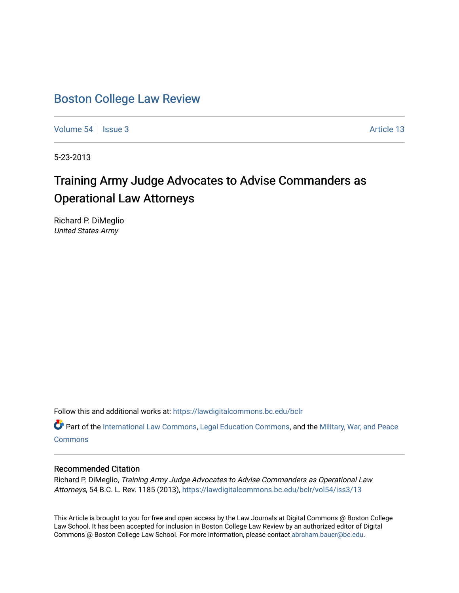# [Boston College Law Review](https://lawdigitalcommons.bc.edu/bclr)

[Volume 54](https://lawdigitalcommons.bc.edu/bclr/vol54) | [Issue 3](https://lawdigitalcommons.bc.edu/bclr/vol54/iss3) Article 13

5-23-2013

# Training Army Judge Advocates to Advise Commanders as Operational Law Attorneys

Richard P. DiMeglio United States Army

Follow this and additional works at: [https://lawdigitalcommons.bc.edu/bclr](https://lawdigitalcommons.bc.edu/bclr?utm_source=lawdigitalcommons.bc.edu%2Fbclr%2Fvol54%2Fiss3%2F13&utm_medium=PDF&utm_campaign=PDFCoverPages) 

Part of the [International Law Commons,](http://network.bepress.com/hgg/discipline/609?utm_source=lawdigitalcommons.bc.edu%2Fbclr%2Fvol54%2Fiss3%2F13&utm_medium=PDF&utm_campaign=PDFCoverPages) [Legal Education Commons,](http://network.bepress.com/hgg/discipline/857?utm_source=lawdigitalcommons.bc.edu%2Fbclr%2Fvol54%2Fiss3%2F13&utm_medium=PDF&utm_campaign=PDFCoverPages) and the [Military, War, and Peace](http://network.bepress.com/hgg/discipline/861?utm_source=lawdigitalcommons.bc.edu%2Fbclr%2Fvol54%2Fiss3%2F13&utm_medium=PDF&utm_campaign=PDFCoverPages) **[Commons](http://network.bepress.com/hgg/discipline/861?utm_source=lawdigitalcommons.bc.edu%2Fbclr%2Fvol54%2Fiss3%2F13&utm_medium=PDF&utm_campaign=PDFCoverPages)** 

## Recommended Citation

Richard P. DiMeglio, Training Army Judge Advocates to Advise Commanders as Operational Law Attorneys, 54 B.C. L. Rev. 1185 (2013), [https://lawdigitalcommons.bc.edu/bclr/vol54/iss3/13](https://lawdigitalcommons.bc.edu/bclr/vol54/iss3/13?utm_source=lawdigitalcommons.bc.edu%2Fbclr%2Fvol54%2Fiss3%2F13&utm_medium=PDF&utm_campaign=PDFCoverPages) 

This Article is brought to you for free and open access by the Law Journals at Digital Commons @ Boston College Law School. It has been accepted for inclusion in Boston College Law Review by an authorized editor of Digital Commons @ Boston College Law School. For more information, please contact [abraham.bauer@bc.edu.](mailto:abraham.bauer@bc.edu)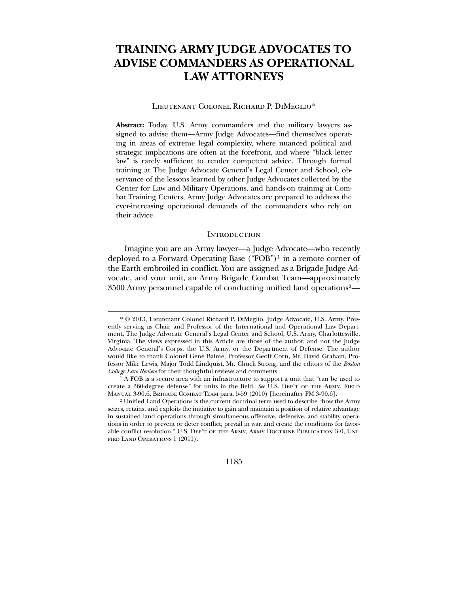## **TRAINING ARMY JUDGE ADVOCATES TO ADVISE COMMANDERS AS OPERATIONAL LAW ATTORNEYS**

### Lieutenant Colonel Richard P. DiMeglio[\\*](#page-1-0)

**Abstract:** Today, U.S. Army commanders and the military lawyers assigned to advise them—Army Judge Advocates—find themselves operating in areas of extreme legal complexity, where nuanced political and strategic implications are often at the forefront, and where "black letter law" is rarely sufficient to render competent advice. Through formal training at The Judge Advocate General's Legal Center and School, observance of the lessons learned by other Judge Advocates collected by the Center for Law and Military Operations, and hands-on training at Combat Training Centers, Army Judge Advocates are prepared to address the ever-increasing operational demands of the commanders who rely on their advice.

## **INTRODUCTION**

 Imagine you are an Army lawyer—a Judge Advocate—who recently deployed to a Forward Operating Base ("FOB")[1](#page-1-1) in a remote corner of the Earth embroiled in conflict. You are assigned as a Brigade Judge Advocate, and your unit, an Army Brigade Combat Team—approximately 3500 Army personnel capable of conducting unified land operations[2](#page-1-2)—

 $\overline{a}$ 

1185

<sup>\*</sup> © 2013, Lieutenant Colonel Richard P. DiMeglio, Judge Advocate, U.S. Army. Presently serving as Chair and Professor of the International and Operational Law Department, The Judge Advocate General's Legal Center and School, U.S. Army, Charlottesville, Virginia. The views expressed in this Article are those of the author, and not the Judge Advocate General's Corps, the U.S. Army, or the Department of Defense. The author would like to thank Colonel Gene Baime, Professor Geoff Corn, Mr. David Graham, Professor Mike Lewis, Major Todd Lindquist, Mr. Chuck Strong, and the editors of the *Boston College Law Review* for their thoughtful reviews and comments.

<sup>&</sup>lt;sup>1</sup> A FOB is a secure area with an infrastructure to support a unit that "can be used to create a 360-degree defense" for units in the field. See U.S. DEP'T OF THE ARMY, FIELD Manual 3-90.6, Brigade Combat Team para. 5-59 (2010) [hereinafter FM 3-90.6].

<span id="page-1-2"></span><span id="page-1-1"></span><span id="page-1-0"></span><sup>2</sup> Unified Land Operations is the current doctrinal term used to describe "how the Army seizes, retains, and exploits the initiative to gain and maintain a position of relative advantage in sustained land operations through simultaneous offensive, defensive, and stability operations in order to prevent or deter conflict, prevail in war, and create the conditions for favorable conflict resolution." U.S. DEP'T OF THE ARMY, ARMY DOCTRINE PUBLICATION 3-0, UNIfied Land Operations 1 (2011).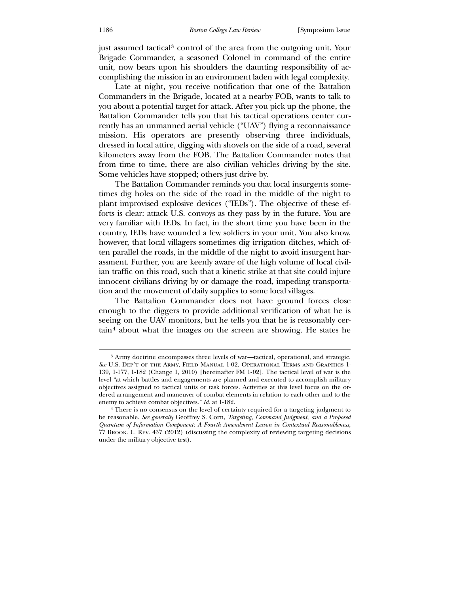just assumed tactical[3](#page-2-0) control of the area from the outgoing unit. Your Brigade Commander, a seasoned Colonel in command of the entire unit, now bears upon his shoulders the daunting responsibility of accomplishing the mission in an environment laden with legal complexity.

 Late at night, you receive notification that one of the Battalion Commanders in the Brigade, located at a nearby FOB, wants to talk to you about a potential target for attack. After you pick up the phone, the Battalion Commander tells you that his tactical operations center currently has an unmanned aerial vehicle ("UAV") flying a reconnaissance mission. His operators are presently observing three individuals, dressed in local attire, digging with shovels on the side of a road, several kilometers away from the FOB. The Battalion Commander notes that from time to time, there are also civilian vehicles driving by the site. Some vehicles have stopped; others just drive by.

 The Battalion Commander reminds you that local insurgents sometimes dig holes on the side of the road in the middle of the night to plant improvised explosive devices ("IEDs"). The objective of these efforts is clear: attack U.S. convoys as they pass by in the future. You are very familiar with IEDs. In fact, in the short time you have been in the country, IEDs have wounded a few soldiers in your unit. You also know, however, that local villagers sometimes dig irrigation ditches, which often parallel the roads, in the middle of the night to avoid insurgent harassment. Further, you are keenly aware of the high volume of local civilian traffic on this road, such that a kinetic strike at that site could injure innocent civilians driving by or damage the road, impeding transportation and the movement of daily supplies to some local villages.

 The Battalion Commander does not have ground forces close enough to the diggers to provide additional verification of what he is seeing on the UAV monitors, but he tells you that he is reasonably certain[4](#page-2-1) about what the images on the screen are showing. He states he

<sup>3</sup> Army doctrine encompasses three levels of war—tactical, operational, and strategic. *See* U.S. Dep't of the Army, Field Manual 1-02, Operational Terms and Graphics 1- 139, 1-177, 1-182 (Change 1, 2010) [hereinafter FM 1-02]. The tactical level of war is the level "at which battles and engagements are planned and executed to accomplish military objectives assigned to tactical units or task forces. Activities at this level focus on the ordered arrangement and maneuver of combat elements in relation to each other and to the enemy to achieve combat objectives." *Id.* at 1-182.

<span id="page-2-1"></span><span id="page-2-0"></span><sup>4</sup> There is no consensus on the level of certainty required for a targeting judgment to be reasonable. *See generally* Geoffrey S. Corn, *Targeting, Command Judgment, and a Proposed Quantum of Information Component: A Fourth Amendment Lesson in Contextual Reasonableness*, 77 Brook. L. Rev. 437 (2012) (discussing the complexity of reviewing targeting decisions under the military objective test).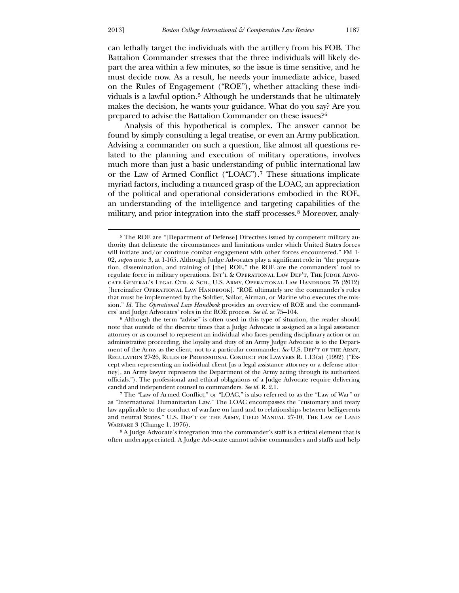$\overline{a}$ 

can lethally target the individuals with the artillery from his FOB. The Battalion Commander stresses that the three individuals will likely depart the area within a few minutes, so the issue is time sensitive, and he must decide now. As a result, he needs your immediate advice, based on the Rules of Engagement ("ROE"), whether attacking these individuals is a lawful option.[5](#page-3-0) Although he understands that he ultimately makes the decision, he wants your guidance. What do you say? Are you prepared to advise the Battalion Commander on these issues?[6](#page-3-1)

 Analysis of this hypothetical is complex. The answer cannot be found by simply consulting a legal treatise, or even an Army publication. Advising a commander on such a question, like almost all questions related to the planning and execution of military operations, involves much more than just a basic understanding of public international law or the Law of Armed Conflict ("LOAC").[7](#page-3-2) These situations implicate myriad factors, including a nuanced grasp of the LOAC, an appreciation of the political and operational considerations embodied in the ROE, an understanding of the intelligence and targeting capabilities of the military, and prior integration into the staff processes.<sup>[8](#page-3-3)</sup> Moreover, analy-

<span id="page-3-3"></span><span id="page-3-2"></span><span id="page-3-1"></span>8 A Judge Advocate's integration into the commander's staff is a critical element that is often underappreciated. A Judge Advocate cannot advise commanders and staffs and help

<sup>5</sup> The ROE are "[Department of Defense] Directives issued by competent military authority that delineate the circumstances and limitations under which United States forces will initiate and/or continue combat engagement with other forces encountered." FM 1- 02, *supra* note 3, at 1-165. Although Judge Advocates play a significant role in "the preparation, dissemination, and training of [the] ROE," the ROE are the commanders' tool to regulate force in military operations. INT'L & OPERATIONAL LAW DEP'T, THE JUDGE ADVOcate General's Legal Ctr. & Sch., U.S. Army, Operational Law Handbook 75 (2012) [hereinafter OPERATIONAL LAW HANDBOOK]. "ROE ultimately are the commander's rules that must be implemented by the Soldier, Sailor, Airman, or Marine who executes the mission." *Id.* The *Operational Law Handbook* provides an overview of ROE and the commanders' and Judge Advocates' roles in the ROE process. *See id.* at 75–104.

<span id="page-3-0"></span><sup>6</sup> Although the term "advise" is often used in this type of situation, the reader should note that outside of the discrete times that a Judge Advocate is assigned as a legal assistance attorney or as counsel to represent an individual who faces pending disciplinary action or an administrative proceeding, the loyalty and duty of an Army Judge Advocate is to the Department of the Army as the client, not to a particular commander. *See* U.S. DEP'T OF THE ARMY, Regulation 27-26, Rules of Professional Conduct for Lawyers R. 1.13(a) (1992) ("Except when representing an individual client [as a legal assistance attorney or a defense attorney], an Army lawyer represents the Department of the Army acting through its authorized officials."). The professional and ethical obligations of a Judge Advocate require delivering candid and independent counsel to commanders. *See id.* R. 2.1.

<sup>7</sup> The "Law of Armed Conflict," or "LOAC," is also referred to as the "Law of War" or as "International Humanitarian Law." The LOAC encompasses the "customary and treaty law applicable to the conduct of warfare on land and to relationships between belligerents and neutral States." U.S. Dep't of the Army, Field Manual 27-10, The Law of Land Warfare 3 (Change 1, 1976).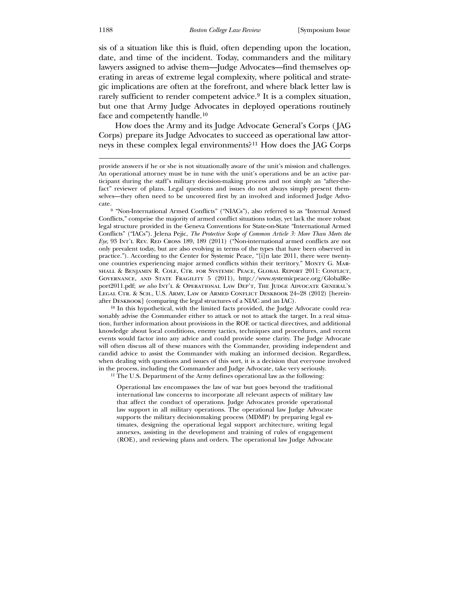sis of a situation like this is fluid, often depending upon the location, date, and time of the incident. Today, commanders and the military lawyers assigned to advise them—Judge Advocates—find themselves operating in areas of extreme legal complexity, where political and strategic implications are often at the forefront, and where black letter law is rarely sufficient to render competent advice.<sup>[9](#page-4-0)</sup> It is a complex situation, but one that Army Judge Advocates in deployed operations routinely face and competently handle.[10](#page-4-1)

 How does the Army and its Judge Advocate General's Corps ( JAG Corps) prepare its Judge Advocates to succeed as operational law attorneys in these complex legal environments?[11](#page-4-2) How does the JAG Corps

9 "Non-International Armed Conflicts" ("NIACs"), also referred to as "Internal Armed Conflicts," comprise the majority of armed conflict situations today, yet lack the more robust legal structure provided in the Geneva Conventions for State-on-State "International Armed Conflicts" ("IACs"). Jelena Pejic, *The Protective Scope of Common Article 3: More Than Meets the Eye*, 93 Int'l Rev. Red Cross 189, 189 (2011) ("Non-international armed conflicts are not only prevalent today, but are also evolving in terms of the types that have been observed in practice."). According to the Center for Systemic Peace, "[i]n late 2011, there were twentyone countries experiencing major armed conflicts within their territory." Monty G. Marshall & Benjamin R. Cole, Ctr. for Systemic Peace, Global Report 2011: Conflict, Governance, and State Fragility 5 (2011), http://www.systemicpeace.org/GlobalReport2011.pdf; *see also* Int'l & OPERATIONAL LAW DEP'T, THE JUDGE ADVOCATE GENERAL'S Legal Ctr. & Sch., U.S. Army, Law of Armed Conflict Deskbook 24–28 (2012) [hereinafter Deskbook] (comparing the legal structures of a NIAC and an IAC).

<span id="page-4-0"></span><sup>10</sup> In this hypothetical, with the limited facts provided, the Judge Advocate could reasonably advise the Commander either to attack or not to attack the target. In a real situation, further information about provisions in the ROE or tactical directives, and additional knowledge about local conditions, enemy tactics, techniques and procedures, and recent events would factor into any advice and could provide some clarity. The Judge Advocate will often discuss all of these nuances with the Commander, providing independent and candid advice to assist the Commander with making an informed decision. Regardless, when dealing with questions and issues of this sort, it is a decision that everyone involved in the process, including the Commander and Judge Advocate, take very seriously.

<span id="page-4-1"></span>11 The U.S. Department of the Army defines operational law as the following:

<span id="page-4-2"></span>Operational law encompasses the law of war but goes beyond the traditional international law concerns to incorporate all relevant aspects of military law that affect the conduct of operations. Judge Advocates provide operational law support in all military operations. The operational law Judge Advocate supports the military decisionmaking process (MDMP) by preparing legal estimates, designing the operational legal support architecture, writing legal annexes, assisting in the development and training of rules of engagement (ROE), and reviewing plans and orders. The operational law Judge Advocate

provide answers if he or she is not situationally aware of the unit's mission and challenges. An operational attorney must be in tune with the unit's operations and be an active participant during the staff's military decision-making process and not simply an "after-thefact" reviewer of plans. Legal questions and issues do not always simply present themselves—they often need to be uncovered first by an involved and informed Judge Advocate.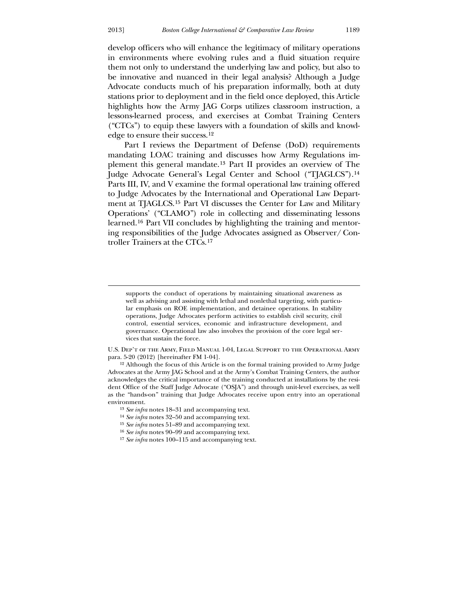develop officers who will enhance the legitimacy of military operations in environments where evolving rules and a fluid situation require them not only to understand the underlying law and policy, but also to be innovative and nuanced in their legal analysis? Although a Judge Advocate conducts much of his preparation informally, both at duty stations prior to deployment and in the field once deployed, this Article highlights how the Army JAG Corps utilizes classroom instruction, a lessons-learned process, and exercises at Combat Training Centers ("CTCs") to equip these lawyers with a foundation of skills and knowledge to ensure their success.[12](#page-5-0)

 Part I reviews the Department of Defense (DoD) requirements mandating LOAC training and discusses how Army Regulations implement this general mandate.[13](#page-5-1) Part II provides an overview of The Judge Advocate General's Legal Center and School ("TJAGLCS").[14](#page-5-2) Parts III, IV, and V examine the formal operational law training offered to Judge Advocates by the International and Operational Law Department at TJAGLCS.[15](#page-5-3) Part VI discusses the Center for Law and Military Operations' ("CLAMO") role in collecting and disseminating lessons learned.[16](#page-5-4) Part VII concludes by highlighting the training and mentoring responsibilities of the Judge Advocates assigned as Observer/ Controller Trainers at the CTCs.[17](#page-5-5)

U.S. Dep't of the Army, Field Manual 1-04, Legal Support to the Operational Army para. 5-20 (2012) [hereinafter FM 1-04].

12 Although the focus of this Article is on the formal training provided to Army Judge Advocates at the Army JAG School and at the Army's Combat Training Centers, the author acknowledges the critical importance of the training conducted at installations by the resident Office of the Staff Judge Advocate ("OSJA") and through unit-level exercises, as well as the "hands-on" training that Judge Advocates receive upon entry into an operational environment.

- 13 *See infra* notes 18–31 and accompanying text.
- 14 *See infra* notes 32–50 and accompanying text.
- 15 *See infra* notes 51–89 and accompanying text.
- 16 *See infra* notes 90–99 and accompanying text.
- <span id="page-5-5"></span><span id="page-5-4"></span><span id="page-5-3"></span><span id="page-5-2"></span><span id="page-5-1"></span><span id="page-5-0"></span>17 *See infra* notes 100–115 and accompanying text.

supports the conduct of operations by maintaining situational awareness as well as advising and assisting with lethal and nonlethal targeting, with particular emphasis on ROE implementation, and detainee operations. In stability operations, Judge Advocates perform activities to establish civil security, civil control, essential services, economic and infrastructure development, and governance. Operational law also involves the provision of the core legal services that sustain the force.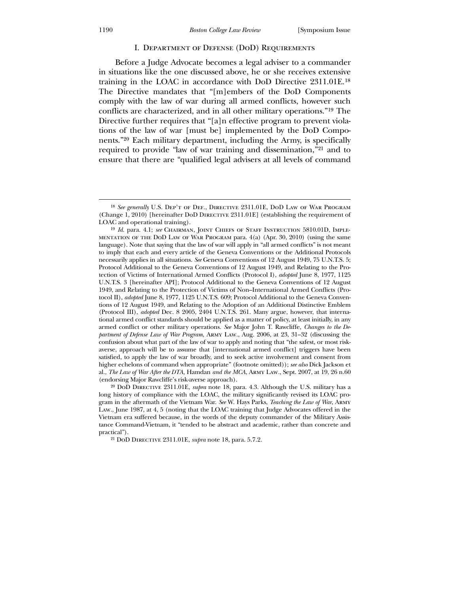### I. Department of Defense (DoD) Requirements

 Before a Judge Advocate becomes a legal adviser to a commander in situations like the one discussed above, he or she receives extensive training in the LOAC in accordance with DoD Directive 2311.01E.[18](#page-6-0) The Directive mandates that "[m]embers of the DoD Components comply with the law of war during all armed conflicts, however such conflicts are characterized, and in all other military operations."[19](#page-6-1) The Directive further requires that "[a]n effective program to prevent violations of the law of war [must be] implemented by the DoD Components."[20](#page-6-2) Each military department, including the Army, is specifically required to provide "law of war training and dissemination,"[21](#page-6-3) and to ensure that there are "qualified legal advisers at all levels of command

<span id="page-6-1"></span><span id="page-6-0"></span>20 DoD Directive 2311.01E, *supra* note 18, para. 4.3. Although the U.S. military has a long history of compliance with the LOAC, the military significantly revised its LOAC program in the aftermath of the Vietnam War. *See* W. Hays Parks, *Teaching the Law of War*, Army Law., June 1987, at 4, 5 (noting that the LOAC training that Judge Advocates offered in the Vietnam era suffered because, in the words of the deputy commander of the Military Assistance Command-Vietnam, it "tended to be abstract and academic, rather than concrete and practical").

<span id="page-6-3"></span><span id="page-6-2"></span>21 DoD Directive 2311.01E, *supra* note 18, para. 5.7.2.

<sup>18</sup> *See generally* U.S. Dep't of Def., Directive 2311.01E, DoD Law of War Program (Change 1, 2010) [hereinafter DoD Directive 2311.01E] (establishing the requirement of LOAC and operational training).

<sup>&</sup>lt;sup>19</sup> *Id.* para. 4.1; *see* CHAIRMAN, JOINT CHIEFS OF STAFF INSTRUCTION 5810.01D, IMPLEmentation of the DoD Law of War Program para. 4(a) (Apr. 30, 2010) (using the same language). Note that saying that the law of war will apply in "all armed conflicts" is not meant to imply that each and every article of the Geneva Conventions or the Additional Protocols necessarily applies in all situations. *See* Geneva Conventions of 12 August 1949, 75 U.N.T.S. 5; Protocol Additional to the Geneva Conventions of 12 August 1949, and Relating to the Protection of Victims of International Armed Conflicts (Protocol I), *adopted* June 8, 1977, 1125 U.N.T.S. 3 [hereinafter API]; Protocol Additional to the Geneva Conventions of 12 August 1949, and Relating to the Protection of Victims of Non–International Armed Conflicts (Protocol II), *adopted* June 8, 1977, 1125 U.N.T.S. 609; Protocol Additional to the Geneva Conventions of 12 August 1949, and Relating to the Adoption of an Additional Distinctive Emblem (Protocol III), *adopted* Dec. 8 2005, 2404 U.N.T.S. 261. Many argue, however, that international armed conflict standards should be applied as a matter of policy, at least initially, in any armed conflict or other military operations. *See* Major John T. Rawcliffe, *Changes to the Department of Defense Law of War Program*, Army Law., Aug. 2006, at 23, 31–32 (discussing the confusion about what part of the law of war to apply and noting that "the safest, or most riskaverse, approach will be to assume that [international armed conflict] triggers have been satisfied, to apply the law of war broadly, and to seek active involvement and consent from higher echelons of command when appropriate" (footnote omitted)); *see also* Dick Jackson et al., *The Law of War After the DTA,* Hamdan *and the MCA*, Army Law., Sept. 2007, at 19, 26 n.60 (endorsing Major Rawcliffe's risk-averse approach).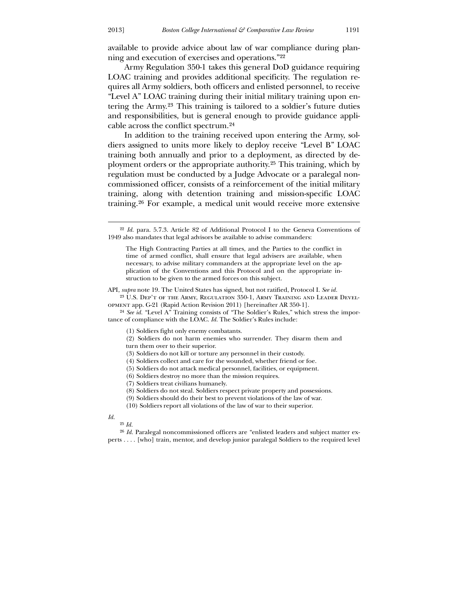available to provide advice about law of war compliance during planning and execution of exercises and operations."[22](#page-7-0)

 Army Regulation 350-1 takes this general DoD guidance requiring LOAC training and provides additional specificity. The regulation requires all Army soldiers, both officers and enlisted personnel, to receive "Level A" LOAC training during their initial military training upon entering the Army.[23](#page-7-1) This training is tailored to a soldier's future duties and responsibilities, but is general enough to provide guidance applicable across the conflict spectrum.[24](#page-7-2)

 In addition to the training received upon entering the Army, soldiers assigned to units more likely to deploy receive "Level B" LOAC training both annually and prior to a deployment, as directed by deployment orders or the appropriate authority.[25](#page-7-3) This training, which by regulation must be conducted by a Judge Advocate or a paralegal noncommissioned officer, consists of a reinforcement of the initial military training, along with detention training and mission-specific LOAC training.[26](#page-7-4) For example, a medical unit would receive more extensive

API, *supra* note 19. The United States has signed, but not ratified, Protocol I. *See id.* 23 U.S. Dep't of the Army, Regulation 350-1, Army Training and Leader Devel-

opment app. G-21 (Rapid Action Revision 2011) [hereinafter AR 350-1].

<span id="page-7-0"></span>24 *See id.* "Level A" Training consists of "The Soldier's Rules," which stress the importance of compliance with the LOAC. *Id*. The Soldier's Rules include:

(1) Soldiers fight only enemy combatants.

(2) Soldiers do not harm enemies who surrender. They disarm them and

turn them over to their superior.

(3) Soldiers do not kill or torture any personnel in their custody.

(4) Soldiers collect and care for the wounded, whether friend or foe.

(5) Soldiers do not attack medical personnel, facilities, or equipment.

(6) Soldiers destroy no more than the mission requires.

(7) Soldiers treat civilians humanely.

(8) Soldiers do not steal. Soldiers respect private property and possessions.

(9) Soldiers should do their best to prevent violations of the law of war.

(10) Soldiers report all violations of the law of war to their superior.

#### <span id="page-7-2"></span><span id="page-7-1"></span>*Id.*

 $\overline{a}$ 

25 *Id.*

<span id="page-7-4"></span><span id="page-7-3"></span><sup>26</sup> *Id.* Paralegal noncommissioned officers are "enlisted leaders and subject matter experts . . . . [who] train, mentor, and develop junior paralegal Soldiers to the required level

<sup>22</sup> *Id.* para. 5.7.3. Article 82 of Additional Protocol I to the Geneva Conventions of 1949 also mandates that legal advisors be available to advise commanders:

The High Contracting Parties at all times, and the Parties to the conflict in time of armed conflict, shall ensure that legal advisers are available, when necessary, to advise military commanders at the appropriate level on the application of the Conventions and this Protocol and on the appropriate instruction to be given to the armed forces on this subject.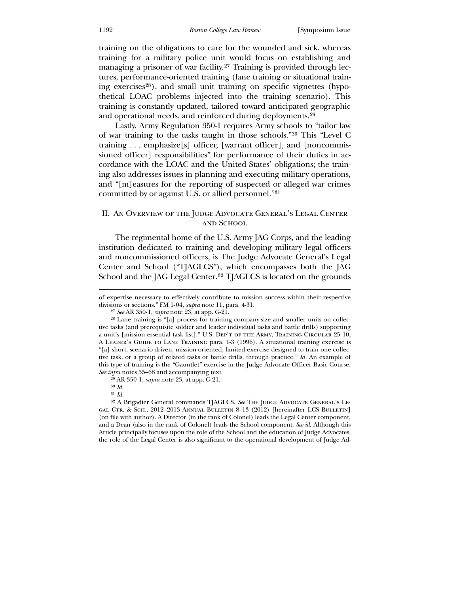training on the obligations to care for the wounded and sick, whereas training for a military police unit would focus on establishing and managing a prisoner of war facility.[27](#page-8-0) Training is provided through lectures, performance-oriented training (lane training or situational train-ing exercises<sup>[28](#page-8-1)</sup>), and small unit training on specific vignettes (hypothetical LOAC problems injected into the training scenario). This training is constantly updated, tailored toward anticipated geographic and operational needs, and reinforced during deployments.[29](#page-8-2)

 Lastly, Army Regulation 350-1 requires Army schools to "tailor law of war training to the tasks taught in those schools."[30](#page-8-3) This "Level C training . . . emphasize[s] officer, [warrant officer], and [noncommissioned officer] responsibilities" for performance of their duties in accordance with the LOAC and the United States' obligations; the training also addresses issues in planning and executing military operations, and "[m]easures for the reporting of suspected or alleged war crimes committed by or against U.S. or allied personnel."[31](#page-8-4)

## II. An Overview of the Judge Advocate General's Legal Center and School

The regimental home of the U.S. Army JAG Corps, and the leading institution dedicated to training and developing military legal officers and noncommissioned officers, is The Judge Advocate General's Legal Center and School ("TJAGLCS"), which encompasses both the JAG School and the JAG Legal Center.<sup>[32](#page-8-5)</sup> TJAGLCS is located on the grounds

of expertise necessary to effectively contribute to mission success within their respective divisions or sections." FM 1-04, *supra* note 11, para. 4-31.

29 AR 350-1, *supra* note 23, at app. G-21.

30 *Id.*

 $\overline{a}$ 

31 *Id.*

<sup>27</sup> *See* AR 350-1, *supra* note 23, at app. G-21.

<sup>28</sup> Lane training is "[a] process for training company-size and smaller units on collective tasks (and prerequisite soldier and leader individual tasks and battle drills) supporting a unit's [mission essential task list]." U.S. Dep't of the Army, Training Circular 25-10, A Leader's Guide to Lane Training para. 1-3 (1996). A situational training exercise is "[a] short, scenario-driven, mission-oriented, limited exercise designed to train one collective task, or a group of related tasks or battle drills, through practice." *Id.* An example of this type of training is the "Gauntlet" exercise in the Judge Advocate Officer Basic Course. *See infra* notes 55–68 and accompanying text.

<span id="page-8-5"></span><span id="page-8-4"></span><span id="page-8-3"></span><span id="page-8-2"></span><span id="page-8-1"></span><span id="page-8-0"></span><sup>&</sup>lt;sup>32</sup> A Brigadier General commands TJAGLCS. See THE JUDGE ADVOCATE GENERAL'S LEgal Ctr. & Sch., 2012–2013 Annual Bulletin 8–13 (2012) [hereinafter LCS Bulletin] (on file with author). A Director (in the rank of Colonel) leads the Legal Center component, and a Dean (also in the rank of Colonel) leads the School component. *See id.* Although this Article principally focuses upon the role of the School and the education of Judge Advocates, the role of the Legal Center is also significant to the operational development of Judge Ad-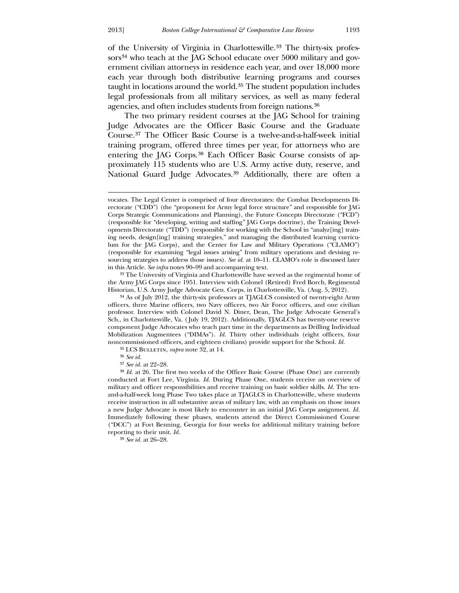<u>.</u>

of the University of Virginia in Charlottesville.[33](#page-9-0) The thirty-six profes-sors<sup>[34](#page-9-1)</sup> who teach at the JAG School educate over 5000 military and government civilian attorneys in residence each year, and over 18,000 more each year through both distributive learning programs and courses taught in locations around the world.[35](#page-9-2) The student population includes legal professionals from all military services, as well as many federal agencies, and often includes students from foreign nations.[36](#page-9-3)

 The two primary resident courses at the JAG School for training Judge Advocates are the Officer Basic Course and the Graduate Course.[37](#page-9-4) The Officer Basic Course is a twelve-and-a-half-week initial training program, offered three times per year, for attorneys who are entering the JAG Corps.[38](#page-9-5) Each Officer Basic Course consists of approximately 115 students who are U.S. Army active duty, reserve, and National Guard Judge Advocates.<sup>[39](#page-9-6)</sup> Additionally, there are often a

33 The University of Virginia and Charlottesville have served as the regimental home of the Army JAG Corps since 1951. Interview with Colonel (Retired) Fred Borch, Regimental Historian, U.S. Army Judge Advocate Gen. Corps, in Charlottesville, Va. (Aug. 5, 2012).

34 As of July 2012, the thirty-six professors at TJAGLCS consisted of twenty-eight Army officers, three Marine officers, two Navy officers, two Air Force officers, and one civilian professor. Interview with Colonel David N. Diner, Dean, The Judge Advocate General's Sch., in Charlottesville, Va. ( July 19, 2012). Additionally, TJAGLCS has twenty-one reserve component Judge Advocates who teach part time in the departments as Drilling Individual Mobilization Augmentees ("DIMAs"). *Id.* Thirty other individuals (eight officers, four noncommissioned officers, and eighteen civilians) provide support for the School. *Id.*

35 LCS Bulletin, *supra* note 32, at 14.

36 *See id.*

<span id="page-9-6"></span><span id="page-9-5"></span><span id="page-9-4"></span><span id="page-9-3"></span><span id="page-9-2"></span>39 *See id.* at 26–28.

vocates. The Legal Center is comprised of four directorates: the Combat Developments Directorate ("CDD") (the "proponent for Army legal force structure" and responsible for JAG Corps Strategic Communications and Planning), the Future Concepts Directorate ("FCD") (responsible for "developing, writing and staffing" JAG Corps doctrine), the Training Developments Directorate ("TDD") (responsible for working with the School in "analyz[ing] training needs, design[ing] training strategies," and managing the distributed learning curriculum for the JAG Corps), and the Center for Law and Military Operations ("CLAMO") (responsible for examining "legal issues arising" from military operations and devising resourcing strategies to address those issues). *See id.* at 10–11. CLAMO's role is discussed later in this Article. *See infra* notes 90–99 and accompanying text.

<sup>37</sup> *See id.* at 22–28.

<span id="page-9-1"></span><span id="page-9-0"></span><sup>38</sup> *Id.* at 26. The first two weeks of the Officer Basic Course (Phase One) are currently conducted at Fort Lee, Virginia. *Id.* During Phase One, students receive an overview of military and officer responsibilities and receive training on basic soldier skills. *Id.* The tenand-a-half-week long Phase Two takes place at TJAGLCS in Charlottesville, where students receive instruction in all substantive areas of military law, with an emphasis on those issues a new Judge Advocate is most likely to encounter in an initial JAG Corps assignment. *Id.*  Immediately following these phases, students attend the Direct Commissioned Course ("DCC") at Fort Benning, Georgia for four weeks for additional military training before reporting to their unit. *Id.*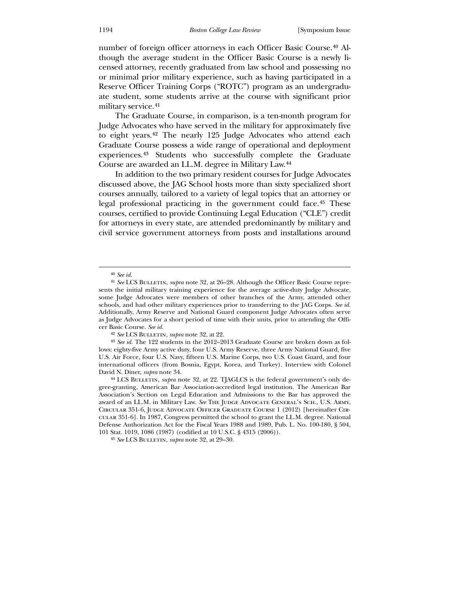number of foreign officer attorneys in each Officer Basic Course.[40](#page-10-0) Although the average student in the Officer Basic Course is a newly licensed attorney, recently graduated from law school and possessing no or minimal prior military experience, such as having participated in a Reserve Officer Training Corps ("ROTC") program as an undergraduate student, some students arrive at the course with significant prior military service.[41](#page-10-1)

 The Graduate Course, in comparison, is a ten-month program for Judge Advocates who have served in the military for approximately five to eight years.[42](#page-10-2) The nearly 125 Judge Advocates who attend each Graduate Course possess a wide range of operational and deployment experiences.[43](#page-10-3) Students who successfully complete the Graduate Course are awarded an LL.M. degree in Military Law.44

 In addition to the two primary resident courses for Judge Advocates discussed above, the JAG School hosts more than sixty specialized short courses annually, tailored to a variety of legal topics that an attorney or legal professional practicing in the government could face.[45](#page-10-4) These courses, certified to provide Continuing Legal Education ("CLE") credit for attorneys in every state, are attended predominantly by military and civil service government attorneys from posts and installations around

 $\overline{a}$ 

42 *See* LCS Bulletin, *supra* note 32, at 22.

<sup>40</sup> *See id.*

<sup>41</sup> *See* LCS Bulletin, *supra* note 32, at 26–28. Although the Officer Basic Course represents the initial military training experience for the average active-duty Judge Advocate, some Judge Advocates were members of other branches of the Army, attended other schools, and had other military experiences prior to transferring to the JAG Corps. *See id.*  Additionally, Army Reserve and National Guard component Judge Advocates often serve as Judge Advocates for a short period of time with their units, prior to attending the Officer Basic Course. *See id.*

<sup>43</sup> *See id.* The 122 students in the 2012–2013 Graduate Course are broken down as follows: eighty-five Army active duty, four U.S. Army Reserve, three Army National Guard, five U.S. Air Force, four U.S. Navy, fifteen U.S. Marine Corps, two U.S. Coast Guard, and four international officers (from Bosnia, Egypt, Korea, and Turkey). Interview with Colonel David N. Diner, *supra* note 34.

<span id="page-10-1"></span><span id="page-10-0"></span><sup>&</sup>lt;sup>44</sup> LCS BULLETIN, *supra* note 32, at 22. TJAGLCS is the federal government's only degree-granting, American Bar Association-accredited legal institution. The American Bar Association's Section on Legal Education and Admissions to the Bar has approved the award of an LL.M. in Military Law. *See* The Judge Advocate General's Sch., U.S. Army, Circular 351-6, Judge Advocate Officer Graduate Course 1 (2012) [hereinafter Circular 351-6]. In 1987, Congress permitted the school to grant the LL.M. degree. National Defense Authorization Act for the Fiscal Years 1988 and 1989, Pub. L. No. 100-180, § 504, 101 Stat. 1019, 1086 (1987) (codified at 10 U.S.C. § 4315 (2006)).

<span id="page-10-4"></span><span id="page-10-3"></span><span id="page-10-2"></span><sup>45</sup> *See* LCS Bulletin, *supra* note 32, at 29–30.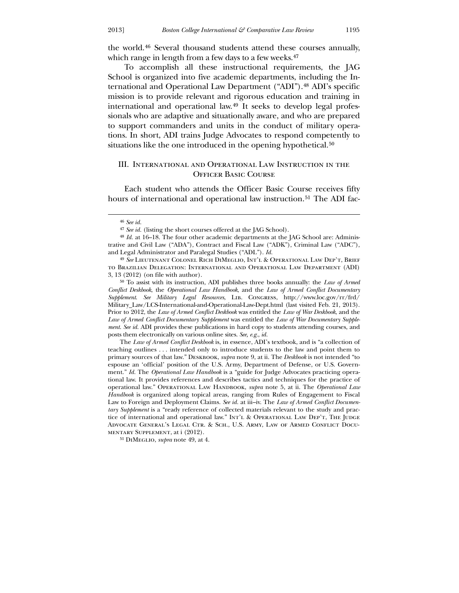the world.[46](#page-11-0) Several thousand students attend these courses annually, which range in length from a few days to a few weeks.<sup>[47](#page-11-1)</sup>

 To accomplish all these instructional requirements, the JAG School is organized into five academic departments, including the International and Operational Law Department ("ADI").[48](#page-11-2) ADI's specific mission is to provide relevant and rigorous education and training in international and operational law.[49](#page-11-3) It seeks to develop legal professionals who are adaptive and situationally aware, and who are prepared to support commanders and units in the conduct of military operations. In short, ADI trains Judge Advocates to respond competently to situations like the one introduced in the opening hypothetical.<sup>[50](#page-11-4)</sup>

## III. International and Operational Law Instruction in the Officer Basic Course

 Each student who attends the Officer Basic Course receives fifty hours of international and operational law instruction.<sup>[51](#page-11-5)</sup> The ADI fac-

<u>.</u>

<span id="page-11-4"></span><span id="page-11-3"></span><span id="page-11-2"></span><span id="page-11-1"></span><span id="page-11-0"></span>The *Law of Armed Conflict Deskbook* is, in essence, ADI's textbook, and is "a collection of teaching outlines . . . intended only to introduce students to the law and point them to primary sources of that law." Deskbook, *supra* note 9, at ii. The *Deskbook* is not intended "to espouse an 'official' position of the U.S. Army, Department of Defense, or U.S. Government." *Id.* The *Operational Law Handbook* is a "guide for Judge Advocates practicing operational law. It provides references and describes tactics and techniques for the practice of operational law." OPERATIONAL LAW HANDBOOK, *supra* note 5, at ii. The *Operational Law Handbook* is organized along topical areas, ranging from Rules of Engagement to Fiscal Law to Foreign and Deployment Claims. *See id.* at iii–iv. The *Law of Armed Conflict Documentary Supplement* is a "ready reference of collected materials relevant to the study and practice of international and operational law." INT'L & OPERATIONAL LAW DEP'T, THE JUDGE Advocate General's Legal Ctr. & Sch., U.S. Army, Law of Armed Conflict Documentary Supplement, at i (2012).

<sup>46</sup> *See id.*

<sup>47</sup> *See id.* (listing the short courses offered at the JAG School).

<sup>48</sup> *Id.* at 16–18. The four other academic departments at the JAG School are: Administrative and Civil Law ("ADA"), Contract and Fiscal Law ("ADK"), Criminal Law ("ADC"), and Legal Administrator and Paralegal Studies ("ADL"). *Id.*

<sup>49</sup> *See* Lieutenant Colonel Rich DiMeglio, Int'l & Operational Law Dep't, Brief to Brazilian Delegation: International and Operational Law Department (ADI) 3, 13 (2012) (on file with author).

<sup>50</sup> To assist with its instruction, ADI publishes three books annually: the *Law of Armed Conflict Deskbook*, the *Operational Law Handbook*, and the *Law of Armed Conflict Documentary Supplement*. *See Military Legal Resources*, Lib. Congress, http://www.loc.gov/rr/frd/ Military\_Law/LCS-International-and-Operational-Law-Dept.html (last visited Feb. 21, 2013). Prior to 2012, the *Law of Armed Conflict Deskbook* was entitled the *Law of War Deskbook*, and the *Law of Armed Conflict Documentary Supplement* was entitled the *Law of War Documentary Supplement*. *See id.* ADI provides these publications in hard copy to students attending courses, and posts them electronically on various online sites. *See, e.g.*, *id.*

<span id="page-11-5"></span><sup>51</sup> DiMeglio, *supra* note 49, at 4.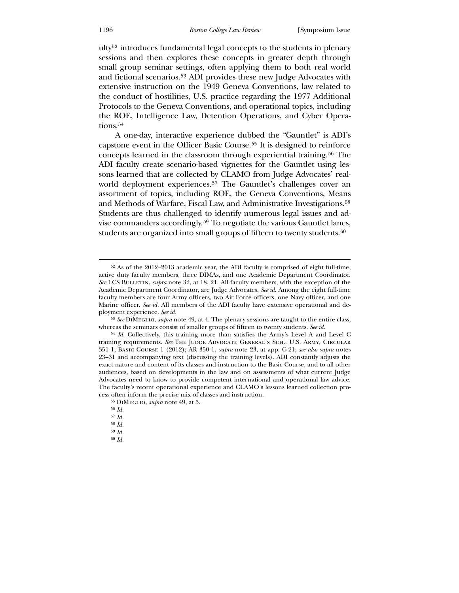ulty[52](#page-12-0) introduces fundamental legal concepts to the students in plenary sessions and then explores these concepts in greater depth through small group seminar settings, often applying them to both real world and fictional scenarios.[53](#page-12-1) ADI provides these new Judge Advocates with extensive instruction on the 1949 Geneva Conventions, law related to the conduct of hostilities, U.S. practice regarding the 1977 Additional Protocols to the Geneva Conventions, and operational topics, including the ROE, Intelligence Law, Detention Operations, and Cyber Opera-tions.<sup>[54](#page-12-2)</sup>

A one-day, interactive experience dubbed the "Gauntlet" is ADI's capstone event in the Officer Basic Course.[55](#page-12-3) It is designed to reinforce concepts learned in the classroom through experiential training.[56](#page-12-4) The ADI faculty create scenario-based vignettes for the Gauntlet using lessons learned that are collected by CLAMO from Judge Advocates' real-world deployment experiences.<sup>[57](#page-12-5)</sup> The Gauntlet's challenges cover an assortment of topics, including ROE, the Geneva Conventions, Means and Methods of Warfare, Fiscal Law, and Administrative Investigations.[58](#page-12-6) Students are thus challenged to identify numerous legal issues and advise commanders accordingly.[59](#page-12-7) To negotiate the various Gauntlet lanes, students are organized into small groups of fifteen to twenty students.<sup>[60](#page-12-8)</sup>

<sup>52</sup> As of the 2012–2013 academic year, the ADI faculty is comprised of eight full-time, active duty faculty members, three DIMAs, and one Academic Department Coordinator. *See* LCS BULLETIN, *supra* note 32, at 18, 21. All faculty members, with the exception of the Academic Department Coordinator, are Judge Advocates. *See id.* Among the eight full-time faculty members are four Army officers, two Air Force officers, one Navy officer, and one Marine officer. *See id.* All members of the ADI faculty have extensive operational and deployment experience. *See id.*

<sup>53</sup> *See* DiMeglio, *supra* note 49, at 4. The plenary sessions are taught to the entire class, whereas the seminars consist of smaller groups of fifteen to twenty students. *See id.*

<span id="page-12-0"></span><sup>54</sup> *Id.* Collectively, this training more than satisfies the Army's Level A and Level C training requirements. *See* The Judge Advocate General's Sch., U.S. Army, Circular 351-1, Basic Course 1 (2012); AR 350-1, *supra* note 23, at app. G-21; *see also supra* notes 23–31 and accompanying text (discussing the training levels). ADI constantly adjusts the exact nature and content of its classes and instruction to the Basic Course, and to all other audiences, based on developments in the law and on assessments of what current Judge Advocates need to know to provide competent international and operational law advice. The faculty's recent operational experience and CLAMO's lessons learned collection process often inform the precise mix of classes and instruction.

<sup>55</sup> DiMeglio, *supra* note 49, at 5.

<sup>56</sup> *Id.*

<sup>57</sup> *Id.*

<span id="page-12-2"></span><span id="page-12-1"></span><sup>58</sup> *Id.*

<span id="page-12-8"></span><span id="page-12-7"></span><span id="page-12-6"></span><span id="page-12-5"></span><span id="page-12-4"></span><span id="page-12-3"></span><sup>59</sup> *Id.* 60 *Id.*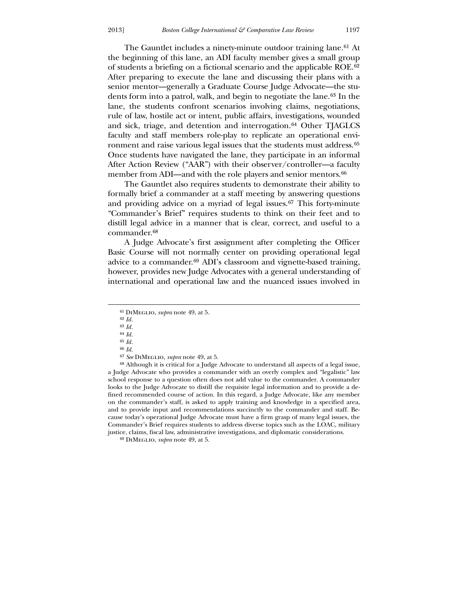The Gauntlet includes a ninety-minute outdoor training lane.[61](#page-13-0) At the beginning of this lane, an ADI faculty member gives a small group of students a briefing on a fictional scenario and the applicable ROE.[62](#page-13-1) After preparing to execute the lane and discussing their plans with a senior mentor—generally a Graduate Course Judge Advocate—the students form into a patrol, walk, and begin to negotiate the lane.[63](#page-13-2) In the lane, the students confront scenarios involving claims, negotiations, rule of law, hostile act or intent, public affairs, investigations, wounded and sick, triage, and detention and interrogation.<sup>[64](#page-13-3)</sup> Other TJAGLCS faculty and staff members role-play to replicate an operational envi-ronment and raise various legal issues that the students must address.<sup>[65](#page-13-4)</sup> Once students have navigated the lane, they participate in an informal After Action Review ("AAR") with their observer/controller—a faculty member from ADI—and with the role players and senior mentors.<sup>[66](#page-13-5)</sup>

 The Gauntlet also requires students to demonstrate their ability to formally brief a commander at a staff meeting by answering questions and providing advice on a myriad of legal issues.<sup>[67](#page-13-6)</sup> This forty-minute "Commander's Brief" requires students to think on their feet and to distill legal advice in a manner that is clear, correct, and useful to a commander.[68](#page-13-7)

 A Judge Advocate's first assignment after completing the Officer Basic Course will not normally center on providing operational legal advice to a commander.[69](#page-13-8) ADI's classroom and vignette-based training, however, provides new Judge Advocates with a general understanding of international and operational law and the nuanced issues involved in

 $\overline{a}$ 

<span id="page-13-0"></span>68 Although it is critical for a Judge Advocate to understand all aspects of a legal issue, a Judge Advocate who provides a commander with an overly complex and "legalistic" law school response to a question often does not add value to the commander. A commander looks to the Judge Advocate to distill the requisite legal information and to provide a defined recommended course of action. In this regard, a Judge Advocate, like any member on the commander's staff, is asked to apply training and knowledge in a specified area, and to provide input and recommendations succinctly to the commander and staff. Because today's operational Judge Advocate must have a firm grasp of many legal issues, the Commander's Brief requires students to address diverse topics such as the LOAC, military justice, claims, fiscal law, administrative investigations, and diplomatic considerations.

<sup>61</sup> DiMeglio, *supra* note 49, at 5.

<sup>62</sup> *Id.*

<sup>63</sup> *Id.* 64 *Id.*

<sup>65</sup> *Id.*

<sup>66</sup> *Id.*

<sup>67</sup> *See* DiMeglio, *supra* note 49, at 5.

<span id="page-13-8"></span><span id="page-13-7"></span><span id="page-13-6"></span><span id="page-13-5"></span><span id="page-13-4"></span><span id="page-13-3"></span><span id="page-13-2"></span><span id="page-13-1"></span><sup>69</sup> DiMeglio, *supra* note 49, at 5.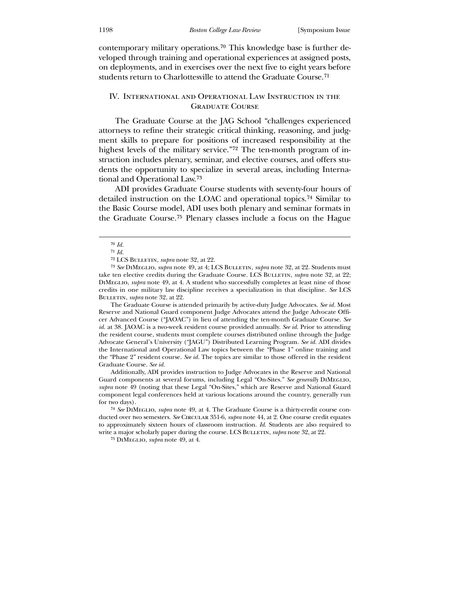contemporary military operations.[70](#page-14-0) This knowledge base is further developed through training and operational experiences at assigned posts, on deployments, and in exercises over the next five to eight years before students return to Charlottesville to attend the Graduate Course.[71](#page-14-1)

## IV. International and Operational Law Instruction in the Graduate Course

 The Graduate Course at the JAG School "challenges experienced attorneys to refine their strategic critical thinking, reasoning, and judgment skills to prepare for positions of increased responsibility at the highest levels of the military service."[72](#page-14-2) The ten-month program of instruction includes plenary, seminar, and elective courses, and offers students the opportunity to specialize in several areas, including International and Operational Law.[73](#page-14-3)

 ADI provides Graduate Course students with seventy-four hours of detailed instruction on the LOAC and operational topics.[74](#page-14-4) Similar to the Basic Course model, ADI uses both plenary and seminar formats in the Graduate Course.[75](#page-14-5) Plenary classes include a focus on the Hague

 $\overline{a}$ 

The Graduate Course is attended primarily by active-duty Judge Advocates. *See id.* Most Reserve and National Guard component Judge Advocates attend the Judge Advocate Officer Advanced Course ("JAOAC") in lieu of attending the ten-month Graduate Course. *See id.* at 38. JAOAC is a two-week resident course provided annually. *See id.* Prior to attending the resident course, students must complete courses distributed online through the Judge Advocate General's University ("JAGU") Distributed Learning Program. *See id.* ADI divides the International and Operational Law topics between the "Phase 1" online training and the "Phase 2" resident course. *See id.* The topics are similar to those offered in the resident Graduate Course. *See id.*

<span id="page-14-3"></span><span id="page-14-2"></span><span id="page-14-1"></span><span id="page-14-0"></span>Additionally, ADI provides instruction to Judge Advocates in the Reserve and National Guard components at several forums, including Legal "On-Sites." See generally DIMEGLIO, *supra* note 49 (noting that these Legal "On-Sites," which are Reserve and National Guard component legal conferences held at various locations around the country, generally run for two days).

74 *See* DiMeglio, *supra* note 49, at 4. The Graduate Course is a thirty-credit course conducted over two semesters. *See* Circular 351-6, *supra* note 44, at 2. One course credit equates to approximately sixteen hours of classroom instruction. *Id.* Students are also required to write a major scholarly paper during the course. LCS Bulletin, *supra* note 32, at 22.

<span id="page-14-5"></span><span id="page-14-4"></span>75 DiMeglio, *supra* note 49, at 4.

<sup>70</sup> *Id.*

<sup>71</sup> *Id.*

<sup>72</sup> LCS Bulletin, *supra* note 32, at 22.

<sup>73</sup> *See* DiMeglio, *supra* note 49, at 4; LCS Bulletin, *supra* note 32, at 22. Students must take ten elective credits during the Graduate Course. LCS BULLETIN, *supra* note 32, at 22; DiMeglio, *supra* note 49, at 4. A student who successfully completes at least nine of those credits in one military law discipline receives a specialization in that discipline. *See* LCS Bulletin, *supra* note 32, at 22.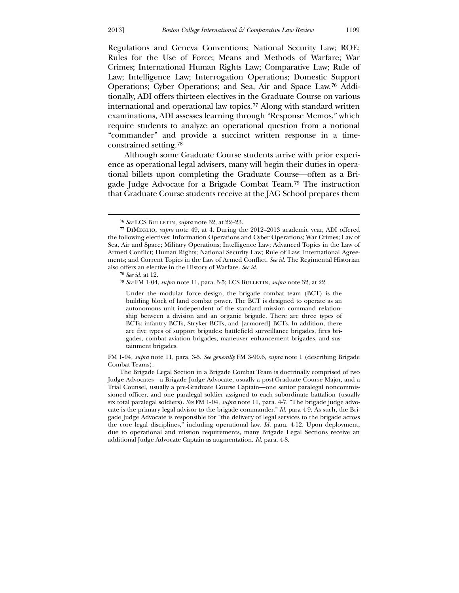Regulations and Geneva Conventions; National Security Law; ROE; Rules for the Use of Force; Means and Methods of Warfare; War Crimes; International Human Rights Law; Comparative Law; Rule of Law; Intelligence Law; Interrogation Operations; Domestic Support Operations; Cyber Operations; and Sea, Air and Space Law.[76](#page-15-0) Additionally, ADI offers thirteen electives in the Graduate Course on various international and operational law topics.[77](#page-15-1) Along with standard written examinations, ADI assesses learning through "Response Memos," which require students to analyze an operational question from a notional "commander" and provide a succinct written response in a timeconstrained setting.[78](#page-15-2)

 Although some Graduate Course students arrive with prior experience as operational legal advisers, many will begin their duties in operational billets upon completing the Graduate Course—often as a Brigade Judge Advocate for a Brigade Combat Team.[79](#page-15-3) The instruction that Graduate Course students receive at the JAG School prepares them

 $\overline{a}$ 

Under the modular force design, the brigade combat team (BCT) is the building block of land combat power. The BCT is designed to operate as an autonomous unit independent of the standard mission command relationship between a division and an organic brigade. There are three types of BCTs: infantry BCTs, Stryker BCTs, and [armored] BCTs. In addition, there are five types of support brigades: battlefield surveillance brigades, fires brigades, combat aviation brigades, maneuver enhancement brigades, and sustainment brigades.

<span id="page-15-1"></span><span id="page-15-0"></span>FM 1-04, *supra* note 11, para. 3-5. *See generally* FM 3-90.6, *supra* note 1 (describing Brigade Combat Teams).

<sup>76</sup> *See* LCS Bulletin, *supra* note 32, at 22–23.

<sup>77</sup> DiMeglio, *supra* note 49, at 4. During the 2012–2013 academic year, ADI offered the following electives: Information Operations and Cyber Operations; War Crimes; Law of Sea, Air and Space; Military Operations; Intelligence Law; Advanced Topics in the Law of Armed Conflict; Human Rights; National Security Law; Rule of Law; International Agreements; and Current Topics in the Law of Armed Conflict. *See id.* The Regimental Historian also offers an elective in the History of Warfare. *See id.*

<sup>78</sup> *See id.* at 12.

<sup>79</sup> *See* FM 1-04, *supra* note 11, para. 3-5; LCS Bulletin, *supra* note 32, at 22.

<span id="page-15-3"></span><span id="page-15-2"></span>The Brigade Legal Section in a Brigade Combat Team is doctrinally comprised of two Judge Advocates—a Brigade Judge Advocate, usually a post-Graduate Course Major, and a Trial Counsel, usually a pre-Graduate Course Captain—one senior paralegal noncommissioned officer, and one paralegal soldier assigned to each subordinate battalion (usually six total paralegal soldiers). *See* FM 1-04, *supra* note 11, para. 4-7. "The brigade judge advocate is the primary legal advisor to the brigade commander." *Id.* para 4-9. As such, the Brigade Judge Advocate is responsible for "the delivery of legal services to the brigade across the core legal disciplines," including operational law. *Id.* para. 4-12. Upon deployment, due to operational and mission requirements, many Brigade Legal Sections receive an additional Judge Advocate Captain as augmentation. *Id.* para. 4-8.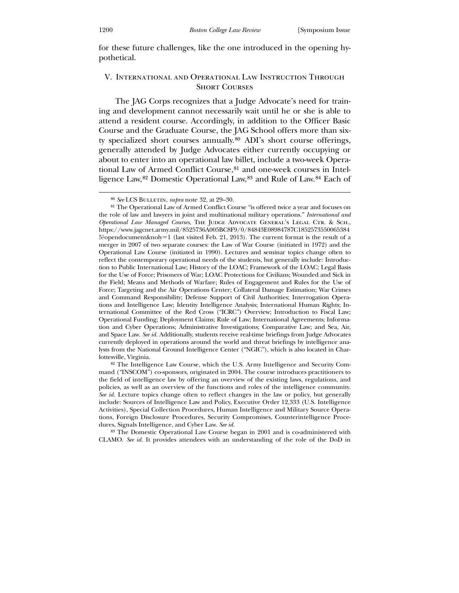for these future challenges, like the one introduced in the opening hypothetical.

## V. International and Operational Law Instruction Through **SHORT COURSES**

The JAG Corps recognizes that a Judge Advocate's need for training and development cannot necessarily wait until he or she is able to attend a resident course. Accordingly, in addition to the Officer Basic Course and the Graduate Course, the JAG School offers more than sixty specialized short courses annually.[80](#page-16-0) ADI's short course offerings, generally attended by Judge Advocates either currently occupying or about to enter into an operational law billet, include a two-week Opera-tional Law of Armed Conflict Course, [81](#page-16-1) and one-week courses in Intelligence Law,[82](#page-16-2) Domestic Operational Law,[83](#page-16-3) and Rule of Law.[84](#page-16-4) Each of

<span id="page-16-4"></span><span id="page-16-1"></span><span id="page-16-0"></span>82 The Intelligence Law Course, which the U.S. Army Intelligence and Security Command ("INSCOM") co-sponsors, originated in 2004. The course introduces practitioners to the field of intelligence law by offering an overview of the existing laws, regulations, and policies, as well as an overview of the functions and roles of the intelligence community. *See id.* Lecture topics change often to reflect changes in the law or policy, but generally include: Sources of Intelligence Law and Policy, Executive Order 12,333 (U.S. Intelligence Activities), Special Collection Procedures, Human Intelligence and Military Source Operations, Foreign Disclosure Procedures, Security Compromises, Counterintelligence Procedures, Signals Intelligence, and Cyber Law. *See id.*

<span id="page-16-3"></span><span id="page-16-2"></span>83 The Domestic Operational Law Course began in 2001 and is co-administered with CLAMO. *See id.* It provides attendees with an understanding of the role of the DoD in

<sup>80</sup> *See* LCS Bulletin, *supra* note 32, at 29–30.

<sup>81</sup> The Operational Law of Armed Conflict Course "is offered twice a year and focuses on the role of law and lawyers in joint and multinational military operations." *International and Operational Law Managed Courses*, The Judge Advocate General's Legal Ctr. & Sch., https://www.jagcnet.army.mil/8525736A005BC8F9/0/84843E08984787C1852573550065384 5?opendocument&noly=1 (last visited Feb. 21, 2013). The current format is the result of a merger in 2007 of two separate courses: the Law of War Course (initiated in 1972) and the Operational Law Course (initiated in 1990). Lectures and seminar topics change often to reflect the contemporary operational needs of the students, but generally include: Introduction to Public International Law; History of the LOAC; Framework of the LOAC; Legal Basis for the Use of Force; Prisoners of War; LOAC Protections for Civilians; Wounded and Sick in the Field; Means and Methods of Warfare; Rules of Engagement and Rules for the Use of Force; Targeting and the Air Operations Center; Collateral Damage Estimation; War Crimes and Command Responsibility; Defense Support of Civil Authorities; Interrogation Operations and Intelligence Law; Identity Intelligence Analysis; International Human Rights; International Committee of the Red Cross ("ICRC") Overview; Introduction to Fiscal Law; Operational Funding; Deployment Claims; Rule of Law; International Agreements; Information and Cyber Operations; Administrative Investigations; Comparative Law; and Sea, Air, and Space Law. *See id.* Additionally, students receive real-time briefings from Judge Advocates currently deployed in operations around the world and threat briefings by intelligence analysts from the National Ground Intelligence Center ("NGIC"), which is also located in Charlottesville, Virginia.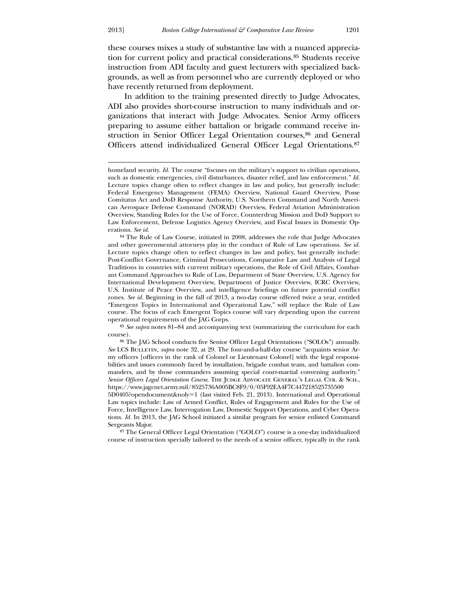-

these courses mixes a study of substantive law with a nuanced appreciation for current policy and practical considerations.[85](#page-17-0) Students receive instruction from ADI faculty and guest lecturers with specialized backgrounds, as well as from personnel who are currently deployed or who have recently returned from deployment.

 In addition to the training presented directly to Judge Advocates, ADI also provides short-course instruction to many individuals and organizations that interact with Judge Advocates. Senior Army officers preparing to assume either battalion or brigade command receive in-struction in Senior Officer Legal Orientation courses,<sup>[86](#page-17-1)</sup> and General Officers attend individualized General Officer Legal Orientations.[87](#page-17-2)

84 The Rule of Law Course, initiated in 2008, addresses the role that Judge Advocates and other governmental attorneys play in the conduct of Rule of Law operations. *See id.* Lecture topics change often to reflect changes in law and policy, but generally include: Post-Conflict Governance, Criminal Prosecutions, Comparative Law and Analysis of Legal Traditions in countries with current military operations, the Role of Civil Affairs, Combatant Command Approaches to Rule of Law, Department of State Overview, U.S. Agency for International Development Overview, Department of Justice Overview, ICRC Overview, U.S. Institute of Peace Overview, and intelligence briefings on future potential conflict zones. *See id.* Beginning in the fall of 2013, a two-day course offered twice a year, entitled "Emergent Topics in International and Operational Law," will replace the Rule of Law course. The focus of each Emergent Topics course will vary depending upon the current operational requirements of the JAG Corps.

85 *See supra* notes 81–84 and accompanying text (summarizing the curriculum for each course).

86 The JAG School conducts five Senior Officer Legal Orientations ("SOLOs") annually. *See* LCS Bulletin, *supra* note 32, at 29. The four-and-a-half-day course "acquaints senior Army officers [officers in the rank of Colonel or Lieutenant Colonel] with the legal responsibilities and issues commonly faced by installation, brigade combat team, and battalion commanders, and by those commanders assuming special court-martial convening authority." *Senior Officers Legal Orientation Course*, THE JUDGE ADVOCATE GENERAL'S LEGAL CTR. & SCH., https://www.jagcnet.army.mil/8525736A005BC8F9/0/05F92EA4F7C447218525735500

5D0405?opendocument&noly=1 (last visited Feb. 21, 2013). International and Operational Law topics include: Law of Armed Conflict, Rules of Engagement and Rules for the Use of Force, Intelligence Law, Interrogation Law, Domestic Support Operations, and Cyber Operations. *Id.* In 2013, the JAG School initiated a similar program for senior enlisted Command Sergeants Major.

<span id="page-17-2"></span><span id="page-17-1"></span><span id="page-17-0"></span>87 The General Officer Legal Orientation ("GOLO") course is a one-day individualized course of instruction specially tailored to the needs of a senior officer, typically in the rank

homeland security. *Id.* The course "focuses on the military's support to civilian operations, such as domestic emergencies, civil disturbances, disaster relief, and law enforcement." *Id.*  Lecture topics change often to reflect changes in law and policy, but generally include: Federal Emergency Management (FEMA) Overview, National Guard Overview, Posse Comitatus Act and DoD Response Authority, U.S. Northern Command and North American Aerospace Defense Command (NORAD) Overview, Federal Aviation Administration Overview, Standing Rules for the Use of Force, Counterdrug Mission and DoD Support to Law Enforcement, Defense Logistics Agency Overview, and Fiscal Issues in Domestic Operations. *See id.*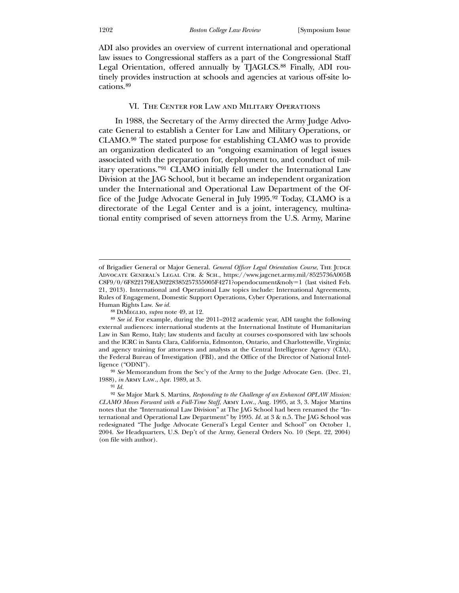ADI also provides an overview of current international and operational law issues to Congressional staffers as a part of the Congressional Staff Legal Orientation, offered annually by TJAGLCS.<sup>[88](#page-18-0)</sup> Finally, ADI routinely provides instruction at schools and agencies at various off-site locations.89

#### VI. The Center for Law and Military Operations

 In 1988, the Secretary of the Army directed the Army Judge Advocate General to establish a Center for Law and Military Operations, or CLAMO.[90](#page-18-1) The stated purpose for establishing CLAMO was to provide an organization dedicated to an "ongoing examination of legal issues associated with the preparation for, deployment to, and conduct of military operations."[91](#page-18-2) CLAMO initially fell under the International Law Division at the JAG School, but it became an independent organization under the International and Operational Law Department of the Office of the Judge Advocate General in July 1995.[92](#page-18-3) Today, CLAMO is a directorate of the Legal Center and is a joint, interagency, multinational entity comprised of seven attorneys from the U.S. Army, Marine

88 DiMeglio, *supra* note 49, at 12.

<sup>90</sup> See Memorandum from the Sec'y of the Army to the Judge Advocate Gen. (Dec. 21, 198 8), *in* Army Law., Apr. 1989, at 3.

of Brigadier General or Major General. General Officer Legal Orientation Course, THE JUDGE Advocate General's Legal Ctr. & Sch., https://www.jagcnet.army.mil/8525736A005B C8F9/0/6F822179EA30228385257355005F4271?opendocument&noly=1 (last visited Feb. 21, 2013). International and Operational Law topics include: International Agreements, Rules of Engagement, Domestic Support Operations, Cyber Operations, and International Hum an Rights Law. *See id.*

and agency training for attorneys and analysts at the Central Intelligence Agency (CIA), the Federal Bureau of Investigation (FBI), and the Office of the Director of National Intel-89 *See id.* For example, during the 2011–2012 academic year, ADI taught the following external audiences: international students at the International Institute of Humanitarian Law in San Remo, Italy; law students and faculty at courses co-sponsored with law schools and the ICRC in Santa Clara, California, Edmonton, Ontario, and Charlottesville, Virginia; ligence ("ODNI").

<sup>91</sup> *Id.*

<span id="page-18-3"></span><span id="page-18-2"></span><span id="page-18-1"></span><span id="page-18-0"></span>redesignated "The Judge Advocate General's Legal Center and School" on October 1, 200 4. *See* Headquarters, U.S. Dep't of the Army, General Orders No. 10 (Sept. 22, 2004) 92 *See* Major Mark S. Martins, *Responding to the Challenge of an Enhanced OPLAW Mission: CLAMO Moves Forward with a Full-Time Staff*, Army Law., Aug. 1995, at 3, 3. Major Martins notes that the "International Law Division" at The JAG School had been renamed the "International and Operational Law Department" by 1995. *Id.* at 3 & n.5. The JAG School was (on file with author).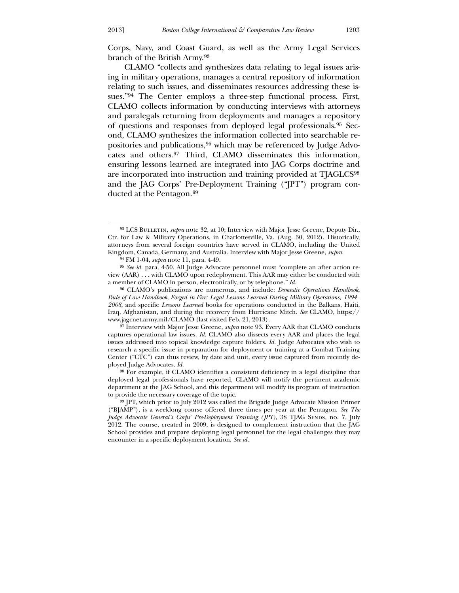Corps, Navy, and Coast Guard, as well as the Army Legal Services branch of the British Army.[93](#page-19-0)

 [CLAMO "collects and synthesizes data relating to legal issues aris](#page-19-0)[ing in military operations, manages a central repository of information](#page-19-0)  [relating to such issues, and disseminates resources addressing these is](#page-19-0)[sues."](#page-19-0)94 [The Center employs a three-step functional process. First,](#page-19-1)  [CLAMO collects information by conducting interviews with attorneys](#page-19-1)  [and paralegals returning from deployments and manages a repository](#page-19-1)  [of questions and responses from deployed legal professionals.](#page-19-1)95 [Sec](#page-19-2)[ond, CLAMO synthesizes the information collected into searchable re](#page-19-2)[positories and publications,](#page-19-2)96 [which may be referenced by Judge Advo](#page-19-3)[cates and others.](#page-19-3)97 [Third, CLAMO disseminates this information,](#page-19-4)  [ensuring lessons learned are integrated into JAG Corps doctrine and](#page-19-4)  [are incorporated](#page-19-4) into instruction and training provided at TJAGLCS98 and the JAG Corps' Pre-Deployment Training ("JPT") program conducted at the Pentagon.99

<u>.</u>

<sup>&</sup>lt;sup>93</sup> LCS BULLETIN, *supra* note 32, at 10; Interview with Major Jesse Greene, Deputy Dir., Ctr. for Law & Military Operations, in Charlottesville, Va. (Aug. 30, 2012). Historically, attorneys from several foreign countries have served in CLAMO, including the United Kingdom, Canada, Germany, and Australia. Interview with Major Jesse Greene, *supra*.

<sup>94</sup> FM 1-04, *supra* note 11, para. 4-49.

<sup>95</sup> *See id.* para. 4-50. All Judge Advocate personnel must "complete an after action review (AAR) . . . with CLAMO upon redeployment. This AAR may either be conducted with a member of CLAMO in person, electronically, or by telephone." *Id.*

<sup>96</sup> CLAMO's publications are numerous, and include: *Domestic Operations Handbook*, *Rule of Law Handbook*, *Forged in Fire: Legal Lessons Learned During Military Operations, 1994– 2008*, and specific *Lessons Learned* books for operations conducted in the Balkans, Haiti, Iraq, Afghanistan, and during the recovery from Hurricane Mitch. *See* CLAMO, https:// www.jagcnet.army.mil/CLAMO (last visited Feb. 21, 2013).

<sup>97</sup> Interview with Major Jesse Greene, *supra* note 93. Every AAR that CLAMO conducts captures operational law issues. *Id.* CLAMO also dissects every AAR and places the legal issues addressed into topical knowledge capture folders. *Id.* Judge Advocates who wish to research a specific issue in preparation for deployment or training at a Combat Training Center ("CTC") can thus review, by date and unit, every issue captured from recently deployed Judge Advocates. *Id.*

<span id="page-19-1"></span><span id="page-19-0"></span><sup>98</sup> For example, if CLAMO identifies a consistent deficiency in a legal discipline that deployed legal professionals have reported, CLAMO will notify the pertinent academic department at the JAG School, and this department will modify its program of instruction to provide the necessary coverage of the topic.

<span id="page-19-4"></span><span id="page-19-3"></span><span id="page-19-2"></span><sup>99</sup> JPT, which prior to July 2012 was called the Brigade Judge Advocate Mission Primer ("BJAMP"), is a weeklong course offered three times per year at the Pentagon. *See The Judge Advocate General's Corps' Pre-Deployment Training (JPT)*, 38 TJAG SENDS, no. 7, July 2012. The course, created in 2009, is designed to complement instruction that the JAG School provides and prepare deploying legal personnel for the legal challenges they may encounter in a specific deployment location. *See id.*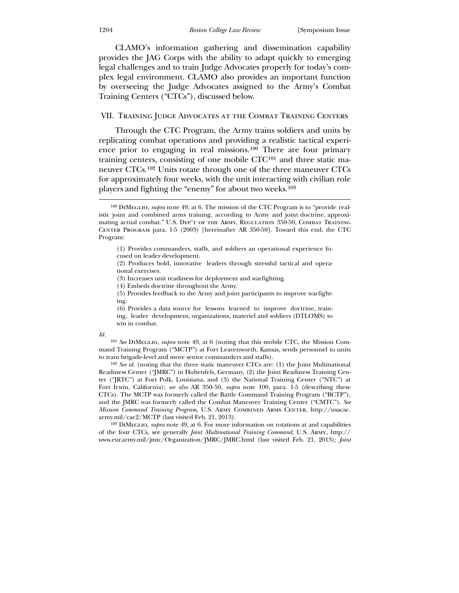CLAMO's information gathering and dissemination capability provides the JAG Corps with the ability to adapt quickly to emerging legal challenges and to train Judge Advocates properly for today's comby overseeing the Judge Advocates assigned to the Army's Combat plex legal environment. CLAMO also provides an important function Training Centers ("CTCs"), discussed below.

### VII. Training Judge Advocates at the Combat Training Centers

ence prior to engaging in real missions.<sup>[100](#page-20-0)</sup> There are four primary training centers, consisting of one mobile CTC101 and three static maneuver CTCs.102 Units rotate through one of the three maneuver CTCs for approximately four weeks, with the unit interacting with civilian role Through the CTC Program, the Army trains soldiers and units by replicating combat operations and providing a realistic tactical experiplayers and fighting the "enemy" for about two weeks.103

(6) Provides a data source for lessons learned to improve doctrine, training, leader development, organizations, materiel and soldiers (DTLOMS) to win in combat.

#### <span id="page-20-0"></span>*Id.*

 $\overline{a}$ 

101 *See* DiMeglio, *supra* note 49, at 6 (noting that this mobile CTC, the Mission Command Training Program ("MCTP") at Fort Leavenworth, Kansas, sends personnel to units to train brigade-level and more senior commanders and staffs).

CTCs). The MCTP was formerly called the Battle Command Training Program ("BCTP"), and the JMRC was formerly called the Combat Maneuver Training Center ("CMTC"). *See* 102 *See id.* (noting that the three static maneuver CTCs are: (1) the Joint Multinational Readiness Center ("JMRC") in Hohenfels, Germany, (2) the Joint Readiness Training Center ("JRTC") at Fort Polk, Louisiana, and (3) the National Training Center ("NTC") at Fort Irwin, California); *see also* AR 350-50, *supra* note 100, para. 1-5 (describing these *Mission Command Training Program*, U.S. Army Combined Arms Center, http://usacac. army.mil/cac2/MCTP (last visited Feb. 21, 2013).

*t*  www.eur.army.mil/jmtc/Organization/JMRC/JMRC.html (last visited Feb. 21, 2013); *Join*103 DiMeglio, *supra* note 49, at 6. For more information on rotations at and capabilities of the four CTCs, see generally *Joint Multinational Training Command*, U.S. Army, http://

<sup>100</sup> DiMeglio, *supra* note 49, at 6. The mission of the CTC Program is to "provide realistic joint and combined arms training, according to Army and joint doctrine, approximating actual combat." U.S. DEP'T OF THE ARMY, REGULATION 350-50, COMBAT TRAINING CENTER PROGRAM para. 1-5 (2003) [hereinafter AR 350-50]. Toward this end, the CTC Progr am:

<sup>(1)</sup> Provides commanders, staffs, and soldiers an operational experience focused on leader development.

<sup>(2)</sup> Produces bold, innovative leaders through stressful tactical and operational exercises.

<sup>(3)</sup> Increases unit readiness for deployment and warfighting.

<sup>(4)</sup> Embeds doctrine throughout the Army.

<sup>(5)</sup> Provides feedback to the Army and joint participants to improve warfighting.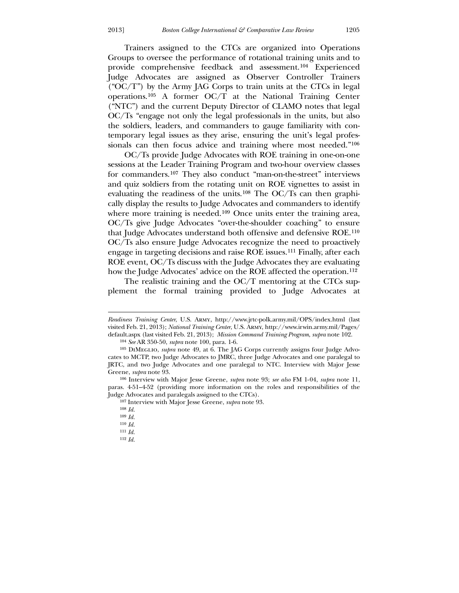Trainers assigned to the CTCs are organized into Operations Groups to oversee the performance of rotational training units and to provide comprehensive feedback and assessment.[104](#page-21-0) Experienced Judge Advocates are assigned as Observer Controller Trainers ("OC/T") by the Army JAG Corps to train units at the CTCs in legal operations.[105](#page-21-1) A former OC/T at the National Training Center ("NTC") and the current Deputy Director of CLAMO notes that legal OC/Ts "engage not only the legal professionals in the units, but also the soldiers, leaders, and commanders to gauge familiarity with contemporary legal issues as they arise, ensuring the unit's legal profes-sionals can then focus advice and training where most needed."<sup>[106](#page-21-2)</sup>

 OC/Ts provide Judge Advocates with ROE training in one-on-one sessions at the Leader Training Program and two-hour overview classes for commanders.[107](#page-21-3) They also conduct "man-on-the-street" interviews and quiz soldiers from the rotating unit on ROE vignettes to assist in evaluating the readiness of the units.[108](#page-21-4) The OC/Ts can then graphically display the results to Judge Advocates and commanders to identify where more training is needed.<sup>[109](#page-21-5)</sup> Once units enter the training area, OC/Ts give Judge Advocates "over-the-shoulder coaching" to ensure that Judge Advocates understand both offensive and defensive ROE.[110](#page-21-6) OC/Ts also ensure Judge Advocates recognize the need to proactively engage in targeting decisions and raise ROE issues.[111](#page-21-7) Finally, after each ROE event, OC/Ts discuss with the Judge Advocates they are evaluating how the Judge Advocates' advice on the ROE affected the operation.<sup>112</sup>

The realistic training and the OC/T mentoring at the CTCs supplement the formal training provided to Judge Advocates at

<sup>107</sup> Interview with Major Jesse Greene, *supra* note 93.

*Readiness Training Center*, U.S. Army, http://www.jrtc-polk.army.mil/OPS/index.html (last visited Feb. 21, 2013); *National Training Center*, U.S. Army, http://www.irwin.army.mil/Pages/ default.aspx (last visited Feb. 21, 2013); *Mission Command Training Program, supra* note 102.

<sup>104</sup> *See* AR 350-50, *supra* note 100, para. 1-6.

JRTC, and two Judge Advocates and one paralegal to NTC. Interview with Major Jesse Gre ene, *supra* note 93. 105 DiMeglio, *supra* note 49, at 6. The JAG Corps currently assigns four Judge Advocates to MCTP, two Judge Advocates to JMRC, three Judge Advocates and one paralegal to

paras. 4-51-4-52 (providing more information on the roles and responsibilities of the Judg e Advocates and paralegals assigned to the CTCs). 106 Interview with Major Jesse Greene, *supra* note 93; *see also* FM 1-04, *supra* note 11,

<sup>108</sup> *Id.*

<sup>109</sup> *Id.*

<sup>110</sup> *Id.*

<sup>111</sup> *Id.*

<span id="page-21-7"></span><span id="page-21-6"></span><span id="page-21-5"></span><span id="page-21-4"></span><span id="page-21-3"></span><span id="page-21-2"></span><span id="page-21-1"></span><span id="page-21-0"></span><sup>112</sup> *Id.*